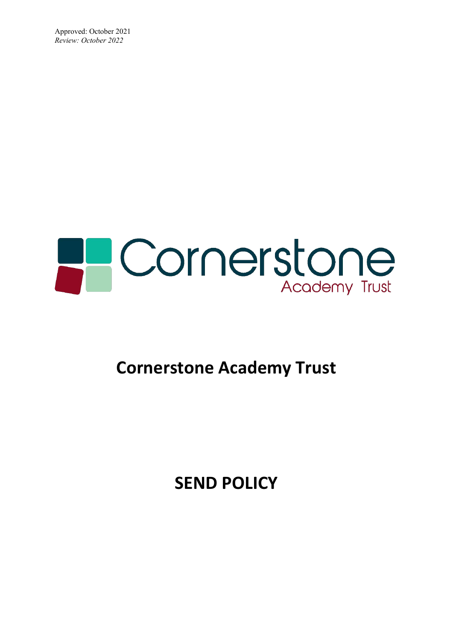Approved: October 2021 *Review: October 2022*



# **Cornerstone Academy Trust**

**SEND POLICY**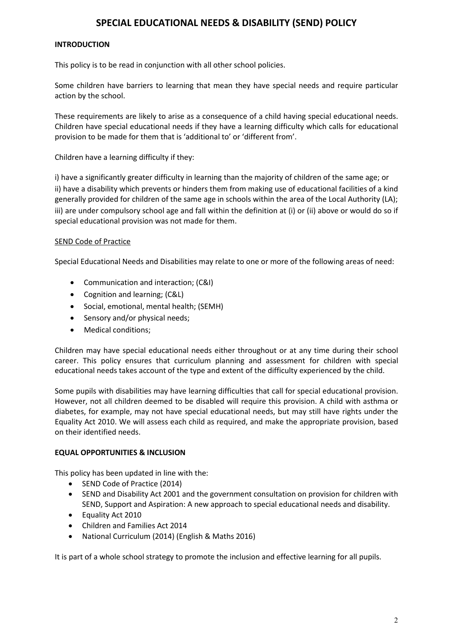# **SPECIAL EDUCATIONAL NEEDS & DISABILITY (SEND) POLICY**

#### **INTRODUCTION**

This policy is to be read in conjunction with all other school policies.

Some children have barriers to learning that mean they have special needs and require particular action by the school.

These requirements are likely to arise as a consequence of a child having special educational needs. Children have special educational needs if they have a learning difficulty which calls for educational provision to be made for them that is 'additional to' or 'different from'.

Children have a learning difficulty if they:

i) have a significantly greater difficulty in learning than the majority of children of the same age; or ii) have a disability which prevents or hinders them from making use of educational facilities of a kind generally provided for children of the same age in schools within the area of the Local Authority (LA); iii) are under compulsory school age and fall within the definition at (i) or (ii) above or would do so if special educational provision was not made for them.

#### SEND Code of Practice

Special Educational Needs and Disabilities may relate to one or more of the following areas of need:

- Communication and interaction; (C&I)
- Cognition and learning; (C&L)
- Social, emotional, mental health; (SEMH)
- Sensory and/or physical needs;
- Medical conditions;

Children may have special educational needs either throughout or at any time during their school career. This policy ensures that curriculum planning and assessment for children with special educational needs takes account of the type and extent of the difficulty experienced by the child.

Some pupils with disabilities may have learning difficulties that call for special educational provision. However, not all children deemed to be disabled will require this provision. A child with asthma or diabetes, for example, may not have special educational needs, but may still have rights under the Equality Act 2010. We will assess each child as required, and make the appropriate provision, based on their identified needs.

# **EQUAL OPPORTUNITIES & INCLUSION**

This policy has been updated in line with the:

- SEND Code of Practice (2014)
- SEND and Disability Act 2001 and the government consultation on provision for children with SEND, Support and Aspiration: A new approach to special educational needs and disability.
- Equality Act 2010
- Children and Families Act 2014
- National Curriculum (2014) (English & Maths 2016)

It is part of a whole school strategy to promote the inclusion and effective learning for all pupils.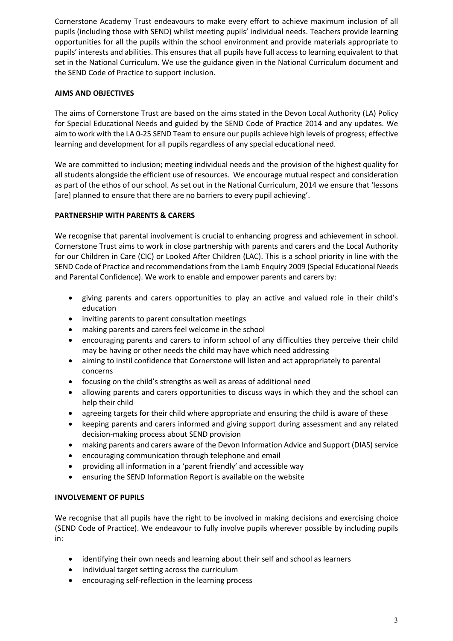Cornerstone Academy Trust endeavours to make every effort to achieve maximum inclusion of all pupils (including those with SEND) whilst meeting pupils' individual needs. Teachers provide learning opportunities for all the pupils within the school environment and provide materials appropriate to pupils' interests and abilities. This ensures that all pupils have full access to learning equivalent to that set in the National Curriculum. We use the guidance given in the National Curriculum document and the SEND Code of Practice to support inclusion.

# **AIMS AND OBJECTIVES**

The aims of Cornerstone Trust are based on the aims stated in the Devon Local Authority (LA) Policy for Special Educational Needs and guided by the SEND Code of Practice 2014 and any updates. We aim to work with the LA 0-25 SEND Team to ensure our pupils achieve high levels of progress; effective learning and development for all pupils regardless of any special educational need.

We are committed to inclusion; meeting individual needs and the provision of the highest quality for all students alongside the efficient use of resources. We encourage mutual respect and consideration as part of the ethos of our school. As set out in the National Curriculum, 2014 we ensure that 'lessons [are] planned to ensure that there are no barriers to every pupil achieving'.

# **PARTNERSHIP WITH PARENTS & CARERS**

We recognise that parental involvement is crucial to enhancing progress and achievement in school. Cornerstone Trust aims to work in close partnership with parents and carers and the Local Authority for our Children in Care (CIC) or Looked After Children (LAC). This is a school priority in line with the SEND Code of Practice and recommendations from the Lamb Enquiry 2009 (Special Educational Needs and Parental Confidence). We work to enable and empower parents and carers by:

- giving parents and carers opportunities to play an active and valued role in their child's education
- inviting parents to parent consultation meetings
- making parents and carers feel welcome in the school
- encouraging parents and carers to inform school of any difficulties they perceive their child may be having or other needs the child may have which need addressing
- aiming to instil confidence that Cornerstone will listen and act appropriately to parental concerns
- focusing on the child's strengths as well as areas of additional need
- allowing parents and carers opportunities to discuss ways in which they and the school can help their child
- agreeing targets for their child where appropriate and ensuring the child is aware of these
- keeping parents and carers informed and giving support during assessment and any related decision-making process about SEND provision
- making parents and carers aware of the Devon Information Advice and Support (DIAS) service
- encouraging communication through telephone and email
- providing all information in a 'parent friendly' and accessible way
- ensuring the SEND Information Report is available on the website

# **INVOLVEMENT OF PUPILS**

We recognise that all pupils have the right to be involved in making decisions and exercising choice (SEND Code of Practice). We endeavour to fully involve pupils wherever possible by including pupils in:

- identifying their own needs and learning about their self and school as learners
- individual target setting across the curriculum
- encouraging self-reflection in the learning process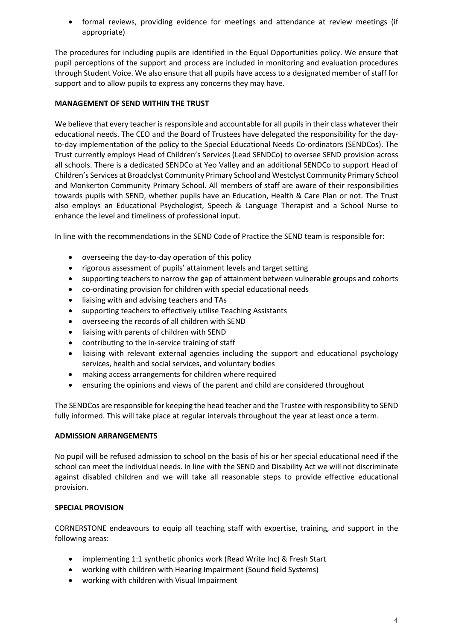• formal reviews, providing evidence for meetings and attendance at review meetings (if appropriate)

The procedures for including pupils are identified in the Equal Opportunities policy. We ensure that pupil perceptions of the support and process are included in monitoring and evaluation procedures through Student Voice. We also ensure that all pupils have access to a designated member of staff for support and to allow pupils to express any concerns they may have.

# **MANAGEMENT OF SEND WITHIN THE TRUST**

We believe that every teacher is responsible and accountable for all pupils in their class whatever their educational needs. The CEO and the Board of Trustees have delegated the responsibility for the dayto-day implementation of the policy to the Special Educational Needs Co-ordinators (SENDCos). The Trust currently employs Head of Children's Services (Lead SENDCo) to oversee SEND provision across all schools. There is a dedicated SENDCo at Yeo Valley and an additional SENDCo to support Head of Children's Services at Broadclyst Community Primary School and Westclyst Community Primary School and Monkerton Community Primary School. All members of staff are aware of their responsibilities towards pupils with SEND, whether pupils have an Education, Health & Care Plan or not. The Trust also employs an Educational Psychologist, Speech & Language Therapist and a School Nurse to enhance the level and timeliness of professional input.

In line with the recommendations in the SEND Code of Practice the SEND team is responsible for:

- overseeing the day-to-day operation of this policy
- rigorous assessment of pupils' attainment levels and target setting
- supporting teachers to narrow the gap of attainment between vulnerable groups and cohorts
- co-ordinating provision for children with special educational needs
- liaising with and advising teachers and TAs
- supporting teachers to effectively utilise Teaching Assistants
- overseeing the records of all children with SEND
- liaising with parents of children with SEND
- contributing to the in-service training of staff
- liaising with relevant external agencies including the support and educational psychology services, health and social services, and voluntary bodies
- making access arrangements for children where required
- ensuring the opinions and views of the parent and child are considered throughout

The SENDCos are responsible for keeping the head teacher and the Trustee with responsibility to SEND fully informed. This will take place at regular intervals throughout the year at least once a term.

# **ADMISSION ARRANGEMENTS**

No pupil will be refused admission to school on the basis of his or her special educational need if the school can meet the individual needs. In line with the SEND and Disability Act we will not discriminate against disabled children and we will take all reasonable steps to provide effective educational provision.

# **SPECIAL PROVISION**

CORNERSTONE endeavours to equip all teaching staff with expertise, training, and support in the following areas:

- implementing 1:1 synthetic phonics work (Read Write Inc) & Fresh Start
- working with children with Hearing Impairment (Sound field Systems)
- working with children with Visual Impairment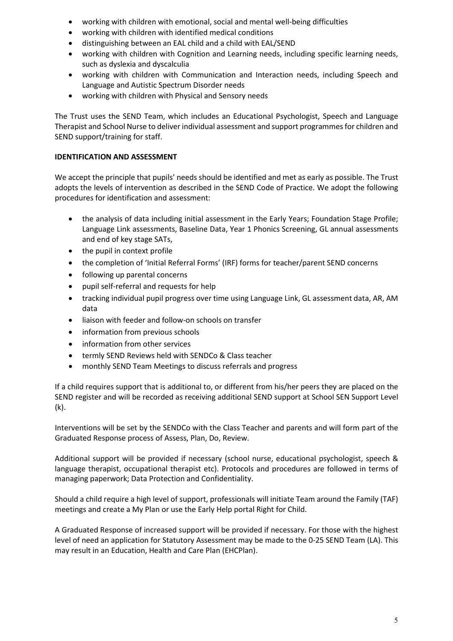- working with children with emotional, social and mental well-being difficulties
- working with children with identified medical conditions
- distinguishing between an EAL child and a child with EAL/SEND
- working with children with Cognition and Learning needs, including specific learning needs, such as dyslexia and dyscalculia
- working with children with Communication and Interaction needs, including Speech and Language and Autistic Spectrum Disorder needs
- working with children with Physical and Sensory needs

The Trust uses the SEND Team, which includes an Educational Psychologist, Speech and Language Therapist and School Nurse to deliver individual assessment and support programmes for children and SEND support/training for staff.

# **IDENTIFICATION AND ASSESSMENT**

We accept the principle that pupils' needs should be identified and met as early as possible. The Trust adopts the levels of intervention as described in the SEND Code of Practice. We adopt the following procedures for identification and assessment:

- the analysis of data including initial assessment in the Early Years; Foundation Stage Profile; Language Link assessments, Baseline Data, Year 1 Phonics Screening, GL annual assessments and end of key stage SATs,
- the pupil in context profile
- the completion of 'Initial Referral Forms' (IRF) forms for teacher/parent SEND concerns
- following up parental concerns
- pupil self-referral and requests for help
- tracking individual pupil progress over time using Language Link, GL assessment data, AR, AM data
- liaison with feeder and follow-on schools on transfer
- information from previous schools
- information from other services
- termly SEND Reviews held with SENDCo & Class teacher
- monthly SEND Team Meetings to discuss referrals and progress

If a child requires support that is additional to, or different from his/her peers they are placed on the SEND register and will be recorded as receiving additional SEND support at School SEN Support Level (k).

Interventions will be set by the SENDCo with the Class Teacher and parents and will form part of the Graduated Response process of Assess, Plan, Do, Review.

Additional support will be provided if necessary (school nurse, educational psychologist, speech & language therapist, occupational therapist etc). Protocols and procedures are followed in terms of managing paperwork; Data Protection and Confidentiality.

Should a child require a high level of support, professionals will initiate Team around the Family (TAF) meetings and create a My Plan or use the Early Help portal Right for Child.

A Graduated Response of increased support will be provided if necessary. For those with the highest level of need an application for Statutory Assessment may be made to the 0-25 SEND Team (LA). This may result in an Education, Health and Care Plan (EHCPlan).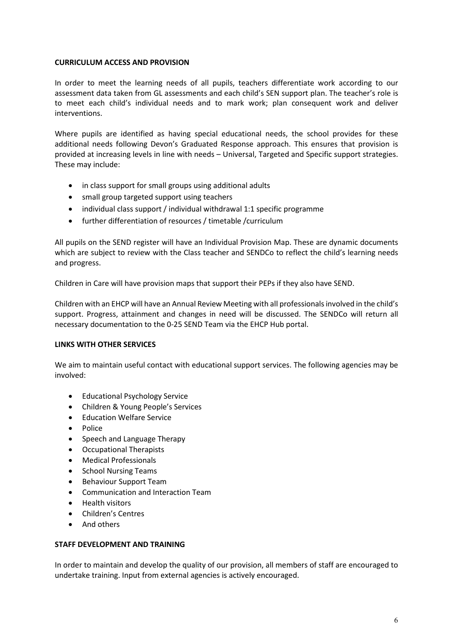#### **CURRICULUM ACCESS AND PROVISION**

In order to meet the learning needs of all pupils, teachers differentiate work according to our assessment data taken from GL assessments and each child's SEN support plan. The teacher's role is to meet each child's individual needs and to mark work; plan consequent work and deliver interventions.

Where pupils are identified as having special educational needs, the school provides for these additional needs following Devon's Graduated Response approach. This ensures that provision is provided at increasing levels in line with needs – Universal, Targeted and Specific support strategies. These may include:

- in class support for small groups using additional adults
- small group targeted support using teachers
- individual class support / individual withdrawal 1:1 specific programme
- further differentiation of resources / timetable /curriculum

All pupils on the SEND register will have an Individual Provision Map. These are dynamic documents which are subject to review with the Class teacher and SENDCo to reflect the child's learning needs and progress.

Children in Care will have provision maps that support their PEPs if they also have SEND.

Children with an EHCP will have an Annual Review Meeting with all professionals involved in the child's support. Progress, attainment and changes in need will be discussed. The SENDCo will return all necessary documentation to the 0-25 SEND Team via the EHCP Hub portal.

#### **LINKS WITH OTHER SERVICES**

We aim to maintain useful contact with educational support services. The following agencies may be involved:

- Educational Psychology Service
- Children & Young People's Services
- Education Welfare Service
- Police
- Speech and Language Therapy
- Occupational Therapists
- Medical Professionals
- School Nursing Teams
- Behaviour Support Team
- Communication and Interaction Team
- Health visitors
- Children's Centres
- And others

#### **STAFF DEVELOPMENT AND TRAINING**

In order to maintain and develop the quality of our provision, all members of staff are encouraged to undertake training. Input from external agencies is actively encouraged.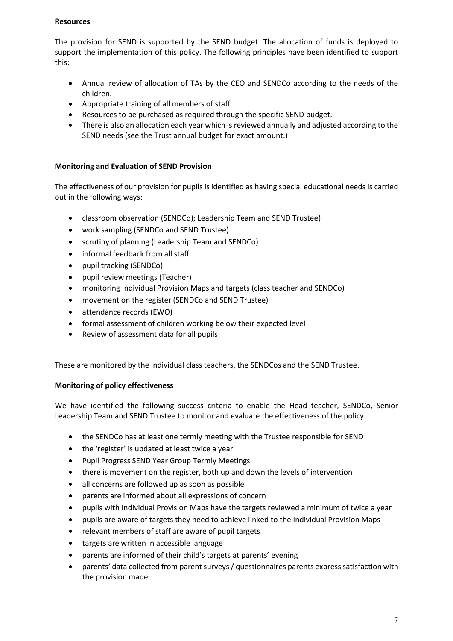#### **Resources**

The provision for SEND is supported by the SEND budget. The allocation of funds is deployed to support the implementation of this policy. The following principles have been identified to support this:

- Annual review of allocation of TAs by the CEO and SENDCo according to the needs of the children.
- Appropriate training of all members of staff
- Resources to be purchased as required through the specific SEND budget.
- There is also an allocation each year which is reviewed annually and adjusted according to the SEND needs (see the Trust annual budget for exact amount.)

#### **Monitoring and Evaluation of SEND Provision**

The effectiveness of our provision for pupils is identified as having special educational needs is carried out in the following ways:

- classroom observation (SENDCo); Leadership Team and SEND Trustee)
- work sampling (SENDCo and SEND Trustee)
- scrutiny of planning (Leadership Team and SENDCo)
- informal feedback from all staff
- pupil tracking (SENDCo)
- pupil review meetings (Teacher)
- monitoring Individual Provision Maps and targets (class teacher and SENDCo)
- movement on the register (SENDCo and SEND Trustee)
- attendance records (EWO)
- formal assessment of children working below their expected level
- Review of assessment data for all pupils

These are monitored by the individual class teachers, the SENDCos and the SEND Trustee.

# **Monitoring of policy effectiveness**

We have identified the following success criteria to enable the Head teacher, SENDCo, Senior Leadership Team and SEND Trustee to monitor and evaluate the effectiveness of the policy.

- the SENDCo has at least one termly meeting with the Trustee responsible for SEND
- the 'register' is updated at least twice a year
- Pupil Progress SEND Year Group Termly Meetings
- there is movement on the register, both up and down the levels of intervention
- all concerns are followed up as soon as possible
- parents are informed about all expressions of concern
- pupils with Individual Provision Maps have the targets reviewed a minimum of twice a year
- pupils are aware of targets they need to achieve linked to the Individual Provision Maps
- relevant members of staff are aware of pupil targets
- targets are written in accessible language
- parents are informed of their child's targets at parents' evening
- parents' data collected from parent surveys / questionnaires parents express satisfaction with the provision made